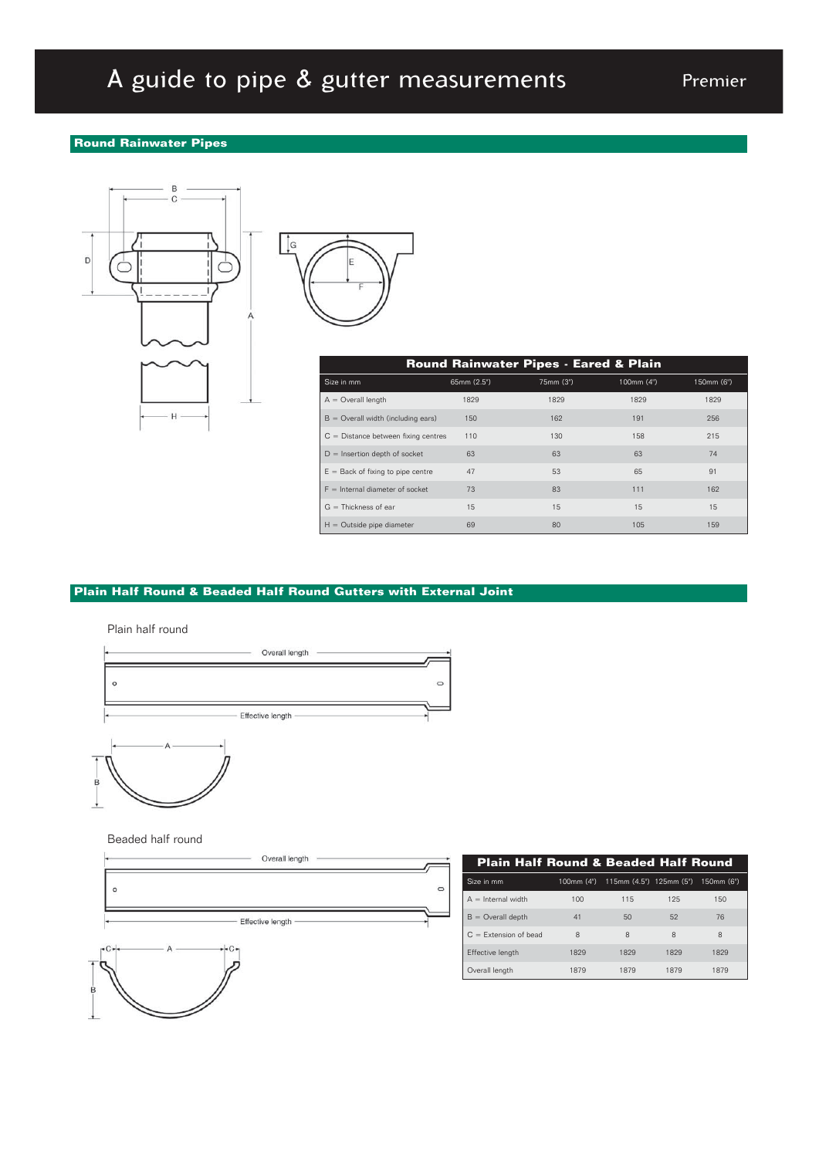# A guide to pipe & gutter measurements Premier

### **Round Rainwater Pipes**





| <b>Round Rainwater Pipes - Eared &amp; Plain</b> |             |           |            |            |  |  |
|--------------------------------------------------|-------------|-----------|------------|------------|--|--|
| Size in mm                                       | 65mm (2.5") | 75mm (3") | 100mm (4") | 150mm (6") |  |  |
| $A =$ Overall length                             | 1829        | 1829      | 1829       | 1829       |  |  |
| $B =$ Overall width (including ears)             | 150         | 162       | 191        | 256        |  |  |
| $C =$ Distance between fixing centres            | 110         | 130       | 158        | 215        |  |  |
| $D =$ Insertion depth of socket                  | 63          | 63        | 63         | 74         |  |  |
| $E =$ Back of fixing to pipe centre              | 47          | 53        | 65         | 91         |  |  |
| $F =$ Internal diameter of socket                | 73          | 83        | 111        | 162        |  |  |
| $G = Thickness of ear$                           | 15          | 15        | 15         | 15         |  |  |
| $H =$ Outside pipe diameter                      | 69          | 80        | 105        | 159        |  |  |

### **Plain Half Round & Beaded Half Round Gutters with External Joint**



Beaded half round





| <b>Plain Half Round &amp; Beaded Half Round</b> |      |                                    |      |            |  |  |
|-------------------------------------------------|------|------------------------------------|------|------------|--|--|
| Size in mm                                      |      | 100mm (4") 115mm (4.5") 125mm (5") |      | 150mm (6") |  |  |
| $A =$ Internal width                            | 100  | 115                                | 125  | 150        |  |  |
| $B =$ Overall depth                             | 41   | 50                                 | 52   | 76         |  |  |
| $C =$ Extension of bead                         | 8    | 8                                  | 8    | 8          |  |  |
| Effective length                                | 1829 | 1829                               | 1829 | 1829       |  |  |
| Overall length                                  | 1879 | 1879                               | 1879 | 1879       |  |  |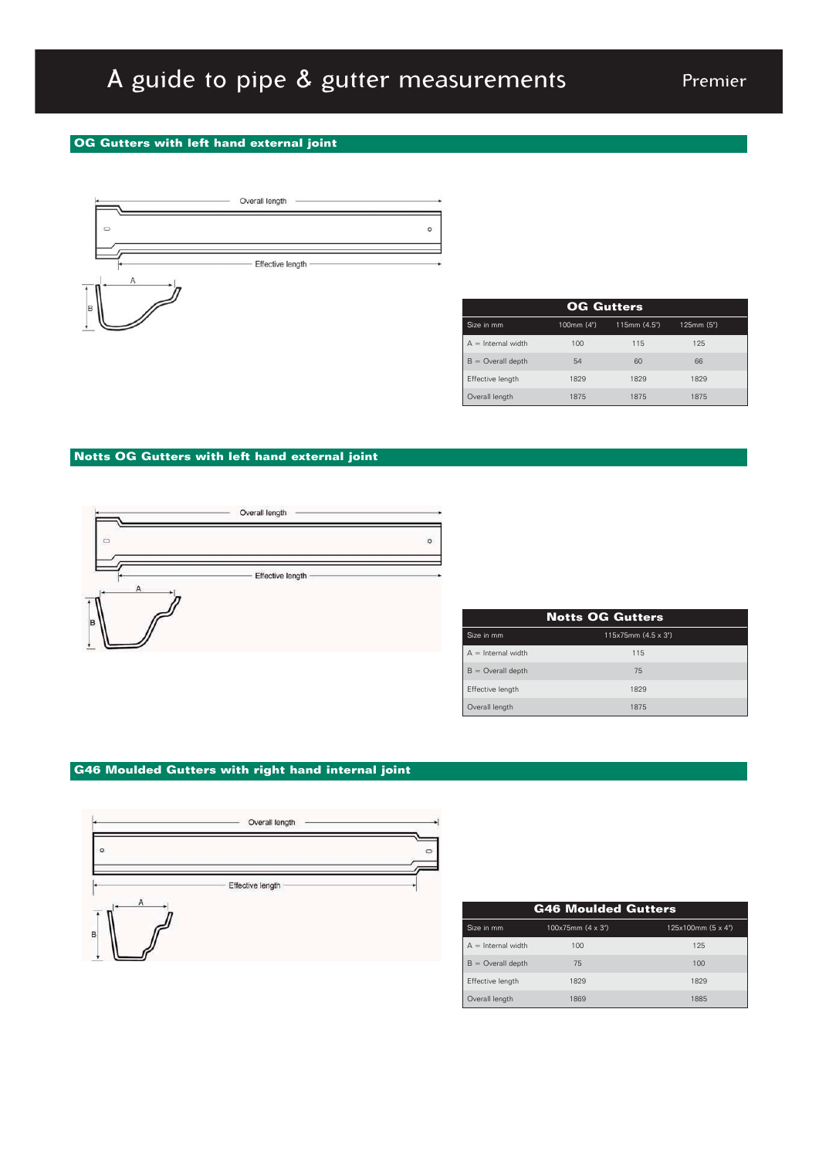## A guide to pipe & gutter measurements

### **OG Gutters with left hand external joint**



| <b>OG Gutters</b>    |            |             |           |  |
|----------------------|------------|-------------|-----------|--|
| Size in mm           | 100mm (4") | 115mm(4.5") | 125mm(5") |  |
| $A =$ Internal width | 100        | 115         | 125       |  |
| $B =$ Overall depth  | 54         | 60          | 66        |  |
| Effective length     | 1829       | 1829        | 1829      |  |
| Overall length       | 1875       | 1875        | 1875      |  |

### **Notts OG Gutters with left hand external joint**



| <b>Notts OG Gutters</b> |                           |  |  |  |
|-------------------------|---------------------------|--|--|--|
| Size in mm              | $115x75mm(4.5 \times 3")$ |  |  |  |
| $A =$ Internal width    | 115                       |  |  |  |
| $B =$ Overall depth     | 75                        |  |  |  |
| Effective length        | 1829                      |  |  |  |
| Overall length          | 1875                      |  |  |  |

### **G46 Moulded Gutters with right hand internal joint**



| <b>G46 Moulded Gutters</b> |                  |                   |  |  |
|----------------------------|------------------|-------------------|--|--|
| Size in mm                 | 100x75mm(4 x 3") | 125x100mm(5 x 4") |  |  |
| $A =$ Internal width       | 100              | 125               |  |  |
| $B =$ Overall depth        | 75               | 100               |  |  |
| Effective length           | 1829             | 1829              |  |  |
| Overall length             | 1869             | 1885              |  |  |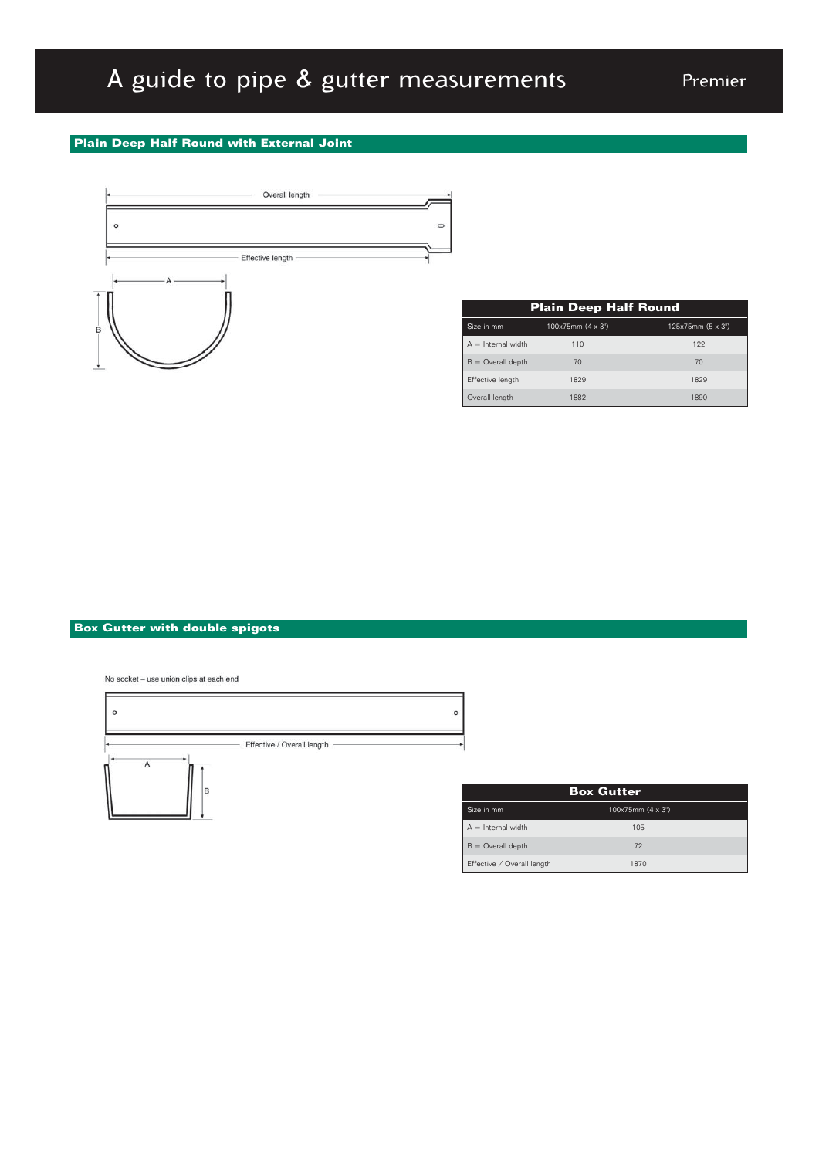### A guide to pipe & gutter measurements Premier

### **Plain Deep Half Round with External Joint**



| <b>Plain Deep Half Round</b> |                  |                  |  |  |
|------------------------------|------------------|------------------|--|--|
| Size in mm                   | 100x75mm(4 x 3") | 125x75mm(5 x 3") |  |  |
| $A =$ Internal width         | 110              | 122              |  |  |
| $B =$ Overall depth          | 70               | 70               |  |  |
| Effective length             | 1829             | 1829             |  |  |
| Overall length               | 1882             | 1890             |  |  |

### **Box Gutter with double spigots**

No socket - use union clips at each end



| <b>Box Gutter</b>          |                  |  |  |
|----------------------------|------------------|--|--|
| Size in mm                 | 100x75mm(4 x 3") |  |  |
| $A =$ Internal width       | 105              |  |  |
| $B =$ Overall depth        | 72               |  |  |
| Effective / Overall length | 1870             |  |  |